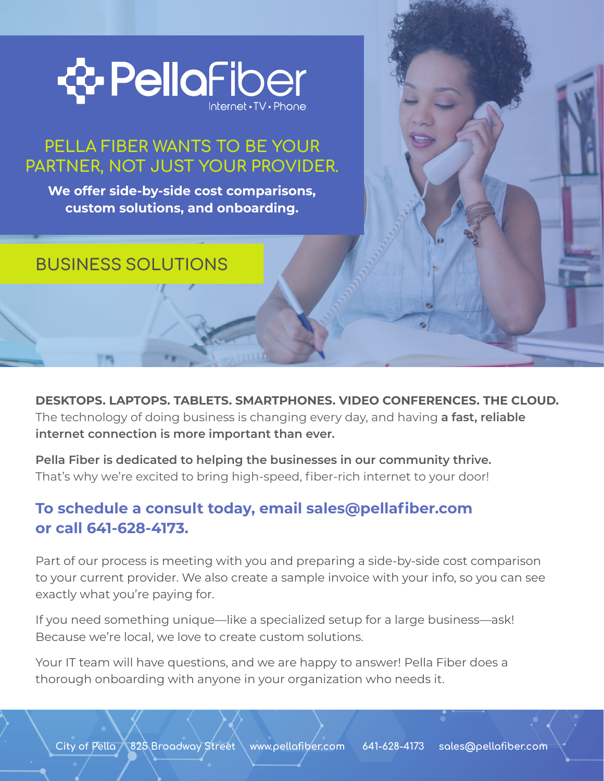

## PELLA FIBER WANTS TO BE YOUR PARTNER, NOT JUST YOUR PROVIDER.

**We offer side-by-side cost comparisons, custom solutions, and onboarding.** 

## BUSINESS SOLUTIONS

**DESKTOPS. LAPTOPS. TABLETS. SMARTPHONES. VIDEO CONFERENCES. THE CLOUD.** The technology of doing business is changing every day, and having **a fast, reliable internet connection is more important than ever.**

**Pella Fiber is dedicated to helping the businesses in our community thrive.** That's why we're excited to bring high-speed, fiber-rich internet to your door!

### **To schedule a consult today, email sales@pellafiber.com or call 641-628-4173.**

Part of our process is meeting with you and preparing a side-by-side cost comparison to your current provider. We also create a sample invoice with your info, so you can see exactly what you're paying for.

If you need something unique—like a specialized setup for a large business—ask! Because we're local, we love to create custom solutions.

Your IT team will have questions, and we are happy to answer! Pella Fiber does a thorough onboarding with anyone in your organization who needs it.